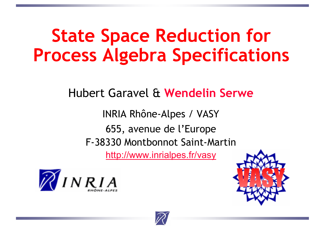### **State Space Reduction for Process Algebra Specifications**

Hubert Garavel & **Wendelin Serwe**

INRIA Rhône-Alpes / VASY 655, avenue de l'Europe F-38330 Montbonnot Saint-Martinhttp://www.inrialpes.fr/vasy





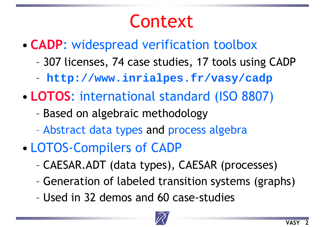### Context

- • **CADP**: widespread verification toolbox
	- 307 licenses, 74 case studies, 17 tools using CADP
	- **http://www.inrialpes.fr/vasy/cadp**
- • **LOTOS**: international standard (ISO 8807)
	- Based on algebraic methodology
	- Abstract data types and process algebra
- • LOTOS-Compilers of CADP
	- CAESAR.ADT (data types), CAESAR (processes)
	- Generation of labeled transition systems (graphs)
	- Used in 32 demos and 60 case-studies

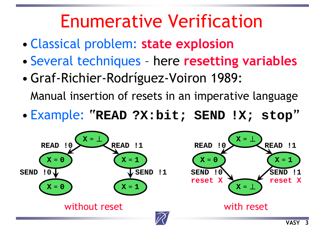### Enumerative Verification

- •Classical problem: **state explosion**
- •Several techniques – here **resetting variables**
- •Graf-Richier-Rodríguez-Voiron 1989:

Manual insertion of resets in an imperative language

•Example: "**READ ?X:bit; SEND !X; stop** "

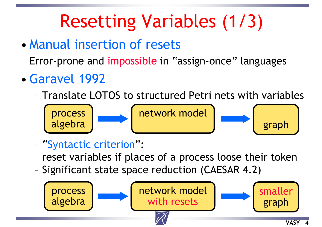# Resetting Variables (1/3)

- Manual insertion of resets Error-prone and impossible in "assign-once" languages
- •Garavel 1992
	- Translate LOTOS to structured Petri nets with variables



"Syntactic criterion":

reset variables if places of a process loose their token

–Significant state space reduction (CAESAR 4.2)

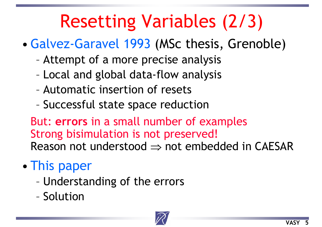# Resetting Variables (2/3)

- •Galvez-Garavel 1993 (MSc thesis, Grenoble)
	- Attempt of a more precise analysis
	- Local and global data-flow analysis
	- Automatic insertion of resets
	- Successful state space reduction

But: **errors** in a small number of examples Strong bisimulation is not preserved! Reason not understood  $\Rightarrow$  not embedded in CAESAR

- • This paper
	- Understanding of the errors
	- Solution

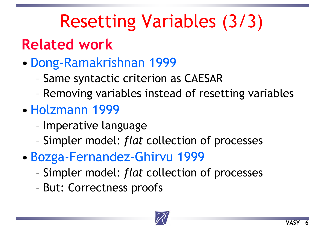# Resetting Variables (3/3)

### **Related work**

- • Dong-Ramakrishnan 1999
	- Same syntactic criterion as CAESAR
	- Removing variables instead of resetting variables
- Holzmann 1999
	- Imperative language
	- Simpler model: *flat* collection of processes
- • Bozga-Fernandez-Ghirvu 1999
	- Simpler model: *flat* collection of processes
	- But: Correctness proofs

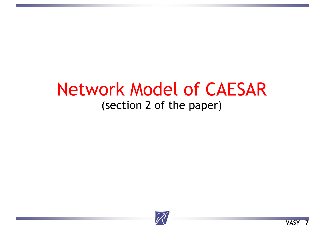#### Network Model of CAESAR(section 2 of the paper)

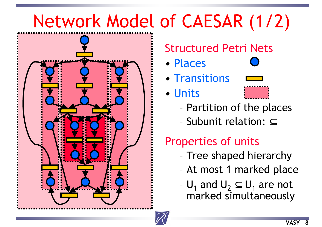# Network Model of CAESAR (1/2)



#### Structured Petri Nets

- Places
- Transitions
- Units



- Partition of the places
- Subunit relation: <u>⊂</u>

#### Properties of units

- Tree shaped hierarchy
- At most 1 marked place
- $\sf{U}_1$  and  $\sf{U}_2\subseteq \sf{U}_1$  are not marked simultaneously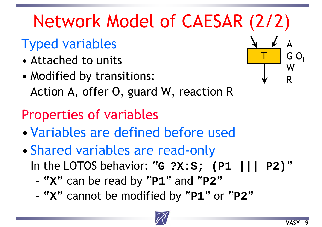# Network Model of CAESAR (2/2)

#### Typed variables

- Attached to units
- • Modified by transitions: Action A, offer O, guard W, reaction R

#### Properties of variables

- •Variables are defined before used
- • Shared variables are read-only In the LOTOS behavior: "G ?X:S; (P1 |||  $P2'$ 
	- **" X "** can be read by "**P1**" and "**P2 "**
	- **" X "** cannot be modified by "**P1**" or "**P2 "**



T

A

W

R

 $G O_i$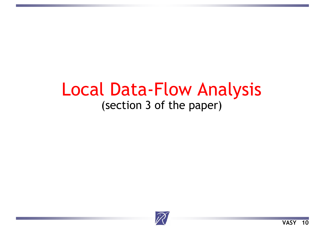#### Local Data-Flow Analysis (section 3 of the paper)

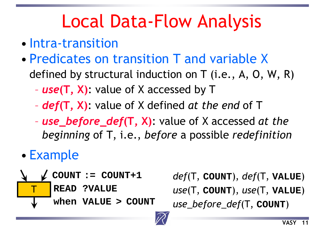## Local Data-Flow Analysis

- Intra-transition
- Predicates on transition T and variable Xdefined by structural induction on T (i.e., A, O, W, R)
	- *use***(T, X)**: value of X accessed by T
	- *def***(T, X)**: value of X defined *at the end* of T
	- *use\_before\_def***(T, X)**: value of X accessed *at the beginning* of T, i.e., *before* a possible *redefinition*
- •Example



**COUNT := COUNT+1** *def*(T, **COUNT**), *def*(T, **VALUE** ) *use*(T, **COUNT**), *use*(T, **VALUE** ) *use\_before\_def*(T, **COUNT** )

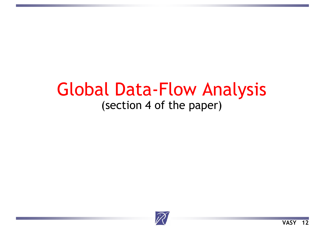#### Global Data-Flow Analysis (section 4 of the paper)

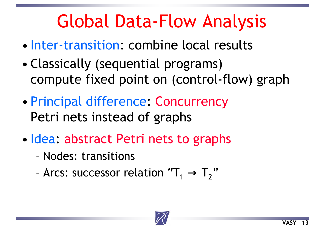## Global Data-Flow Analysis

- Inter-transition: combine local results
- • Classically (sequential programs) compute fixed point on (control-flow) graph
- • Principal difference: Concurrency Petri nets instead of graphs
- •• Idea: abstract Petri nets to graphs
	- Nodes: transitions
	- Arcs: successor relation  $"T_1 \rightarrow T_2$ "

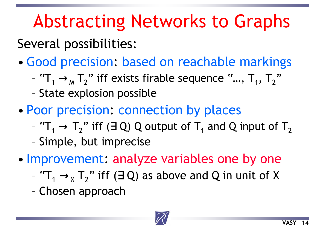## Abstracting Networks to Graphs

Several possibilities:

- •Good precision: based on reachable markings
	- $"T_1 \rightarrow_M T_2"$  iff exists firable sequence  $"..., T_1, T_2$ ,,
	- –State explosion possible
- • Poor precision: connection by places
	- $"{\mathsf T}_1 \to {\mathsf T}_2"$  iff (3 Q) Q output of  ${\mathsf T}_1$  and Q input of  ${\mathsf T}_2$
	- Simple, but imprecise
- •• Improvement: analyze variables one by one
	- " $T_1 \rightarrow_X T_2$ " iff ( $\exists$  Q) as above and Q in unit of X
	- Chosen approach

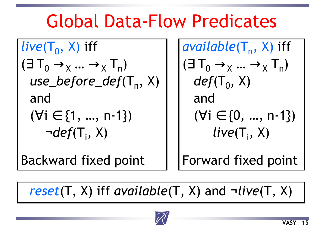### Global Data-Flow Predicates

*live*(
$$
T_0
$$
,  $X$ ) iff  
\n( $\exists T_0 \rightarrow_X ... \rightarrow_X T_n$ )  
\n*use\_before\_def*( $T_n$ ,  $X$ )  
\nand  
\n( $\forall i \in \{1, ..., n-1\}$ )  
\n $\neg def(T_i, X)$ 

Backward fixed point

$$
\begin{array}{ll}\n\text{available}(\mathsf{T}_n, \mathsf{X}) \text{ iff} \\
(\exists \mathsf{T}_0 \rightarrow_{\mathsf{X}} ... \rightarrow_{\mathsf{X}} \mathsf{T}_n) \\
\text{def}(\mathsf{T}_0, \mathsf{X}) \\
\text{and} \\
(\forall i \in \{0, ..., n-1\}) \\
\text{live}(\mathsf{T}_i, \mathsf{X})\n\end{array}
$$

Forward fixed point

*reset*(T, X) iff *available*(T, X) and **¬***live*(T, X)

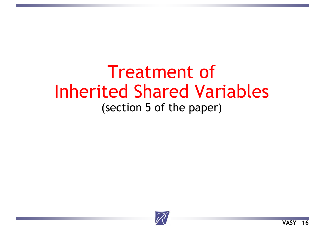#### Treatment of Inherited Shared Variables (section 5 of the paper)

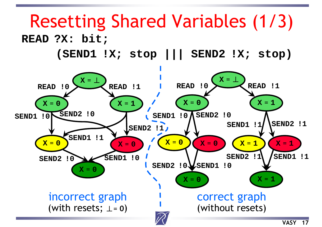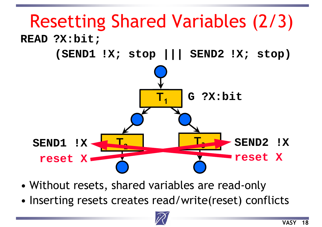

- •Without resets, shared variables are read-only
- •Inserting resets creates read/write(reset) conflicts

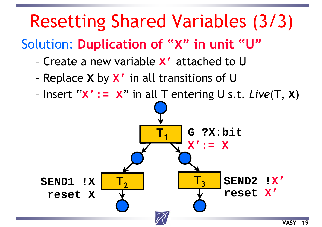## Resetting Shared Variables (3/3)

#### Solution: **Duplication of " X" in unit "U"**

- Create a new variable **X'** attached to U
- Replace **X** by **X'** in all transitions of U
- Insert "**X':= X**" in all T entering U s.t. *Live*(T, **X** )

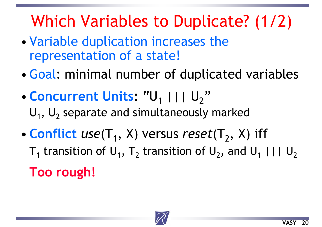### Which Variables to Duplicate? (1/2)

- • Variable duplication increases the representation of a state!
- Goal: minimal number of duplicated variables
- **Concurrent Units :** "U  $_1$  ||| U<sub>2</sub> " $\mathsf{U}_1$ ,  $\mathsf{U}_2$  separate and simultaneously marked
- •• **Conflict**  $use(T_1, X)$  versus  $reset(T_2, X)$  iff  ${\sf T}_1$  transition of  ${\sf U}_1,~{\sf T}_2$  transition of  ${\sf U}_2,$  and  ${\sf U}_1$  |||  ${\sf U}_2$

**Too rough!**

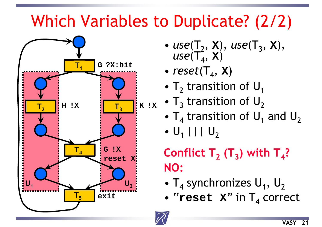### Which Variables to Duplicate? (2/2)



- ••  $use(\mathsf{T}_2, \mathsf{x}), \, use(\mathsf{T}_3, \mathsf{x}),$  $\mathsf{use}(\mathsf{T}_4^{\mathsf{-}}, \, \mathsf{x})$
- ••  $reset(T_4, x)$
- $\bullet$  T $_2$  transition of U $_4$
- 
- $\bullet$   $\mathsf{T}_4$  transition of  $\mathsf{U}_1$  and  $\mathsf{U}_2$
- • $\mathsf{U}_1$  |||  $\mathsf{U}_2$

#### $\mathsf{Conflict}\;\mathsf{T}_\mathsf{2}\;(\mathsf{T}_\mathsf{3})$  with  $\mathsf{T}_\mathsf{4}$ ? **NO:**

- $\bullet$  T<sub>4</sub> synchronizes U<sub>1</sub>, U<sub>2</sub>
- "**reset X**" in T 4 correct

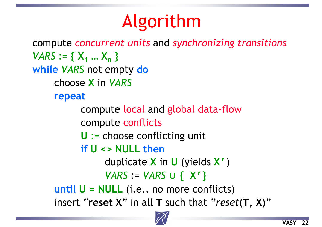## Algorithm

compute *concurrent units* and *synchronizing transitions VARS* := **{ X1 … Xn } while** *VARS* not empty **do** choose **X** in *VARS* **repeat** compute local and global data-flow compute conflicts **U** := choose conflicting unit **if U <> NULL then**duplicate **X** in **U** (yields **X'**) *VARS* := *VARS* <sup>∪</sup> **{ X'} until U = NULL** (i.e., no more conflicts) insert "**reset X**" in all **T** such that "*reset***(T, X)**"

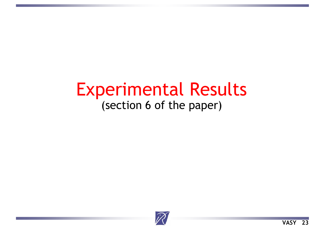#### Experimental Results (section 6 of the paper)

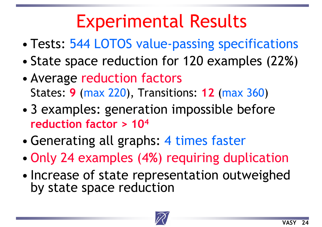## Experimental Results

- •Tests: 544 LOTOS value-passing specifications
- •State space reduction for 120 examples (22 **%** )
- • Average reduction factors States: **9** (max 220), Transitions: **12** (max 360 )
- • 3 examples: generation impossible before **reduction factor > 104**
- •Generating all graphs: 4 times faster
- •Only 24 examples (4 **%**) requiring duplication
- • Increase of state representation outweighed by state space reduction